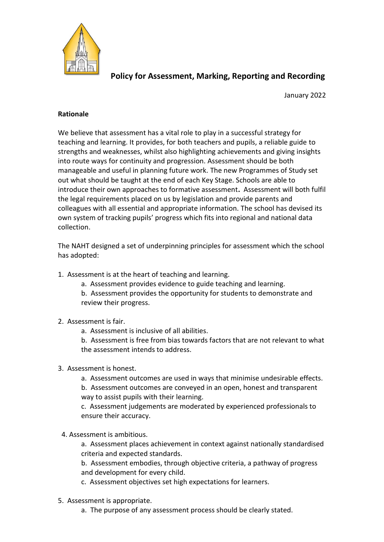

# **Policy for Assessment, Marking, Reporting and Recording**

January 2022

## **Rationale**

We believe that assessment has a vital role to play in a successful strategy for teaching and learning. It provides, for both teachers and pupils, a reliable guide to strengths and weaknesses, whilst also highlighting achievements and giving insights into route ways for continuity and progression. Assessment should be both manageable and useful in planning future work. The new Programmes of Study set out what should be taught at the end of each Key Stage. Schools are able to introduce their own approaches to formative assessment**.** Assessment will both fulfil the legal requirements placed on us by legislation and provide parents and colleagues with all essential and appropriate information. The school has devised its own system of tracking pupils' progress which fits into regional and national data collection.

The NAHT designed a set of underpinning principles for assessment which the school has adopted:

- 1. Assessment is at the heart of teaching and learning.
	- a. Assessment provides evidence to guide teaching and learning.
	- b. Assessment provides the opportunity for students to demonstrate and review their progress.

## 2. Assessment is fair.

- a. Assessment is inclusive of all abilities.
- b. Assessment is free from bias towards factors that are not relevant to what the assessment intends to address.
- 3. Assessment is honest.
	- a. Assessment outcomes are used in ways that minimise undesirable effects.
	- b. Assessment outcomes are conveyed in an open, honest and transparent way to assist pupils with their learning.

c. Assessment judgements are moderated by experienced professionals to ensure their accuracy.

4. Assessment is ambitious.

a. Assessment places achievement in context against nationally standardised criteria and expected standards.

b. Assessment embodies, through objective criteria, a pathway of progress and development for every child.

c. Assessment objectives set high expectations for learners.

- 5. Assessment is appropriate.
	- a. The purpose of any assessment process should be clearly stated.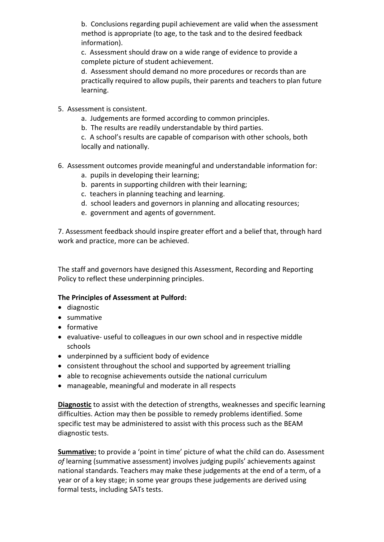b. Conclusions regarding pupil achievement are valid when the assessment method is appropriate (to age, to the task and to the desired feedback information).

c. Assessment should draw on a wide range of evidence to provide a complete picture of student achievement.

d. Assessment should demand no more procedures or records than are practically required to allow pupils, their parents and teachers to plan future learning.

- 5. Assessment is consistent.
	- a. Judgements are formed according to common principles.
	- b. The results are readily understandable by third parties.

c. A school's results are capable of comparison with other schools, both locally and nationally.

- 6. Assessment outcomes provide meaningful and understandable information for:
	- a. pupils in developing their learning;
	- b. parents in supporting children with their learning;
	- c. teachers in planning teaching and learning.
	- d. school leaders and governors in planning and allocating resources;
	- e. government and agents of government.

7. Assessment feedback should inspire greater effort and a belief that, through hard work and practice, more can be achieved.

The staff and governors have designed this Assessment, Recording and Reporting Policy to reflect these underpinning principles.

### **The Principles of Assessment at Pulford:**

- diagnostic
- summative
- formative
- evaluative- useful to colleagues in our own school and in respective middle schools
- underpinned by a sufficient body of evidence
- consistent throughout the school and supported by agreement trialling
- able to recognise achievements outside the national curriculum
- manageable, meaningful and moderate in all respects

**Diagnostic** to assist with the detection of strengths, weaknesses and specific learning difficulties. Action may then be possible to remedy problems identified. Some specific test may be administered to assist with this process such as the BEAM diagnostic tests.

**Summative:** to provide a 'point in time' picture of what the child can do. Assessment *of* learning (summative assessment) involves judging pupils' achievements against national standards. Teachers may make these judgements at the end of a term, of a year or of a key stage; in some year groups these judgements are derived using formal tests, including SATs tests.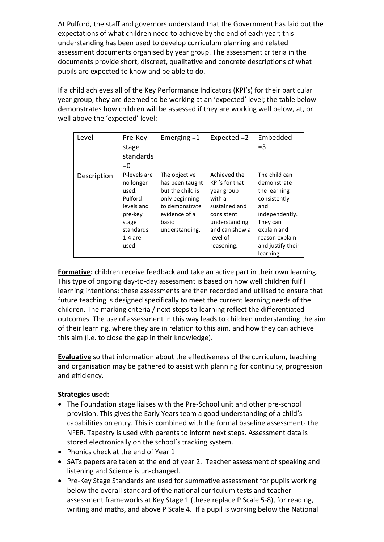At Pulford, the staff and governors understand that the Government has laid out the expectations of what children need to achieve by the end of each year; this understanding has been used to develop curriculum planning and related assessment documents organised by year group. The assessment criteria in the documents provide short, discreet, qualitative and concrete descriptions of what pupils are expected to know and be able to do.

If a child achieves all of the Key Performance Indicators (KPI's) for their particular year group, they are deemed to be working at an 'expected' level; the table below demonstrates how children will be assessed if they are working well below, at, or well above the 'expected' level:

| Level       | Pre-Key<br>stage<br>standards<br>$= 0$                                                                            | Emerging $=1$                                                                                                                        | Expected =2                                                                                                                                        | Embedded<br>$=$ 3                                                                                                                                                    |
|-------------|-------------------------------------------------------------------------------------------------------------------|--------------------------------------------------------------------------------------------------------------------------------------|----------------------------------------------------------------------------------------------------------------------------------------------------|----------------------------------------------------------------------------------------------------------------------------------------------------------------------|
| Description | P-levels are<br>no longer<br>used.<br>Pulford<br>levels and<br>pre-key<br>stage<br>standards<br>$1-4$ are<br>used | The objective<br>has been taught<br>but the child is<br>only beginning<br>to demonstrate<br>evidence of a<br>basic<br>understanding. | Achieved the<br>KPI's for that<br>year group<br>with a<br>sustained and<br>consistent<br>understanding<br>and can show a<br>level of<br>reasoning. | The child can<br>demonstrate<br>the learning<br>consistently<br>and<br>independently.<br>They can<br>explain and<br>reason explain<br>and justify their<br>learning. |

**Formative:** children receive feedback and take an active part in their own learning. This type of ongoing day-to-day assessment is based on how well children fulfil learning intentions; these assessments are then recorded and utilised to ensure that future teaching is designed specifically to meet the current learning needs of the children. The marking criteria / next steps to learning reflect the differentiated outcomes. The use of assessment in this way leads to children understanding the aim of their learning, where they are in relation to this aim, and how they can achieve this aim (i.e. to close the gap in their knowledge).

**Evaluative** so that information about the effectiveness of the curriculum, teaching and organisation may be gathered to assist with planning for continuity, progression and efficiency.

## **Strategies used:**

- The Foundation stage liaises with the Pre-School unit and other pre-school provision. This gives the Early Years team a good understanding of a child's capabilities on entry. This is combined with the formal baseline assessment- the NFER. Tapestry is used with parents to inform next steps. Assessment data is stored electronically on the school's tracking system.
- Phonics check at the end of Year 1
- SATs papers are taken at the end of year 2. Teacher assessment of speaking and listening and Science is un-changed.
- Pre-Key Stage Standards are used for summative assessment for pupils working below the overall standard of the national curriculum tests and teacher assessment frameworks at Key Stage 1 (these replace P Scale 5-8), for reading, writing and maths, and above P Scale 4. If a pupil is working below the National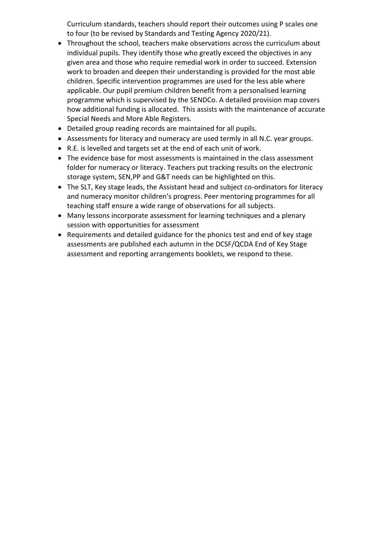Curriculum standards, teachers should report their outcomes using P scales one to four (to be revised by Standards and Testing Agency 2020/21).

- Throughout the school, teachers make observations across the curriculum about individual pupils. They identify those who greatly exceed the objectives in any given area and those who require remedial work in order to succeed. Extension work to broaden and deepen their understanding is provided for the most able children. Specific intervention programmes are used for the less able where applicable. Our pupil premium children benefit from a personalised learning programme which is supervised by the SENDCo. A detailed provision map covers how additional funding is allocated. This assists with the maintenance of accurate Special Needs and More Able Registers.
- Detailed group reading records are maintained for all pupils.
- Assessments for literacy and numeracy are used termly in all N.C. year groups.
- R.E. is levelled and targets set at the end of each unit of work.
- The evidence base for most assessments is maintained in the class assessment folder for numeracy or literacy. Teachers put tracking results on the electronic storage system, SEN,PP and G&T needs can be highlighted on this.
- The SLT, Key stage leads, the Assistant head and subject co-ordinators for literacy and numeracy monitor children's progress. Peer mentoring programmes for all teaching staff ensure a wide range of observations for all subjects.
- Many lessons incorporate assessment for learning techniques and a plenary session with opportunities for assessment
- Requirements and detailed guidance for the phonics test and end of key stage assessments are published each autumn in the DCSF/QCDA End of Key Stage assessment and reporting arrangements booklets, we respond to these.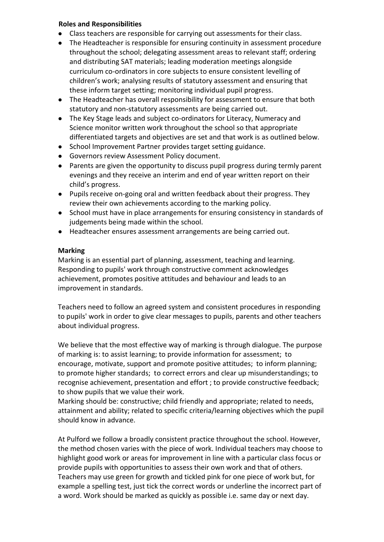## **Roles and Responsibilities**

- *●* Class teachers are responsible for carrying out assessments for their class.
- *●* The Headteacher is responsible for ensuring continuity in assessment procedure throughout the school; delegating assessment areas to relevant staff; ordering and distributing SAT materials; leading moderation meetings alongside curriculum co-ordinators in core subjects to ensure consistent levelling of children's work; analysing results of statutory assessment and ensuring that these inform target setting; monitoring individual pupil progress.
- *●* The Headteacher has overall responsibility for assessment to ensure that both statutory and non-statutory assessments are being carried out.
- *●* The Key Stage leads and subject co-ordinators for Literacy, Numeracy and Science monitor written work throughout the school so that appropriate differentiated targets and objectives are set and that work is as outlined below.
- *●* School Improvement Partner provides target setting guidance.
- *●* Governors review Assessment Policy document.
- *●* Parents are given the opportunity to discuss pupil progress during termly parent evenings and they receive an interim and end of year written report on their child's progress.
- *●* Pupils receive on-going oral and written feedback about their progress. They review their own achievements according to the marking policy.
- *●* School must have in place arrangements for ensuring consistency in standards of judgements being made within the school.
- *●* Headteacher ensures assessment arrangements are being carried out.

## **Marking**

Marking is an essential part of planning, assessment, teaching and learning. Responding to pupils' work through constructive comment acknowledges achievement, promotes positive attitudes and behaviour and leads to an improvement in standards.

Teachers need to follow an agreed system and consistent procedures in responding to pupils' work in order to give clear messages to pupils, parents and other teachers about individual progress.

We believe that the most effective way of marking is through dialogue. The purpose of marking is: to assist learning; to provide information for assessment; to encourage, motivate, support and promote positive attitudes; to inform planning; to promote higher standards; to correct errors and clear up misunderstandings; to recognise achievement, presentation and effort ; to provide constructive feedback; to show pupils that we value their work.

Marking should be: constructive; child friendly and appropriate; related to needs, attainment and ability; related to specific criteria/learning objectives which the pupil should know in advance.

At Pulford we follow a broadly consistent practice throughout the school. However, the method chosen varies with the piece of work. Individual teachers may choose to highlight good work or areas for improvement in line with a particular class focus or provide pupils with opportunities to assess their own work and that of others. Teachers may use green for growth and tickled pink for one piece of work but, for example a spelling test, just tick the correct words or underline the incorrect part of a word. Work should be marked as quickly as possible i.e. same day or next day.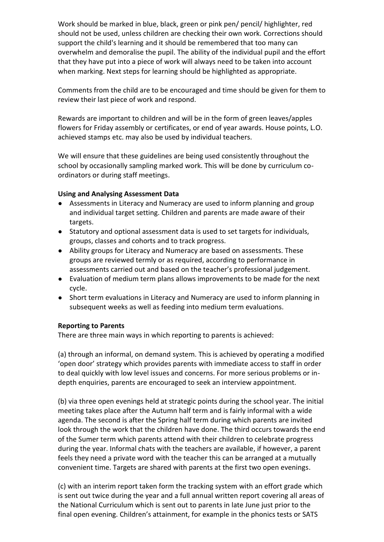Work should be marked in blue, black, green or pink pen/ pencil/ highlighter, red should not be used, unless children are checking their own work. Corrections should support the child's learning and it should be remembered that too many can overwhelm and demoralise the pupil. The ability of the individual pupil and the effort that they have put into a piece of work will always need to be taken into account when marking. Next steps for learning should be highlighted as appropriate.

Comments from the child are to be encouraged and time should be given for them to review their last piece of work and respond.

Rewards are important to children and will be in the form of green leaves/apples flowers for Friday assembly or certificates, or end of year awards. House points, L.O. achieved stamps etc. may also be used by individual teachers.

We will ensure that these guidelines are being used consistently throughout the school by occasionally sampling marked work. This will be done by curriculum coordinators or during staff meetings.

## **Using and Analysing Assessment Data**

- *●* Assessments in Literacy and Numeracy are used to inform planning and group and individual target setting. Children and parents are made aware of their targets.
- *●* Statutory and optional assessment data is used to set targets for individuals, groups, classes and cohorts and to track progress.
- *●* Ability groups for Literacy and Numeracy are based on assessments. These groups are reviewed termly or as required, according to performance in assessments carried out and based on the teacher's professional judgement.
- *●* Evaluation of medium term plans allows improvements to be made for the next cycle.
- *●* Short term evaluations in Literacy and Numeracy are used to inform planning in subsequent weeks as well as feeding into medium term evaluations.

### **Reporting to Parents**

There are three main ways in which reporting to parents is achieved:

(a) through an informal, on demand system. This is achieved by operating a modified 'open door' strategy which provides parents with immediate access to staff in order to deal quickly with low level issues and concerns. For more serious problems or indepth enquiries, parents are encouraged to seek an interview appointment.

(b) via three open evenings held at strategic points during the school year. The initial meeting takes place after the Autumn half term and is fairly informal with a wide agenda. The second is after the Spring half term during which parents are invited look through the work that the children have done. The third occurs towards the end of the Sumer term which parents attend with their children to celebrate progress during the year. Informal chats with the teachers are available, if however, a parent feels they need a private word with the teacher this can be arranged at a mutually convenient time. Targets are shared with parents at the first two open evenings.

(c) with an interim report taken form the tracking system with an effort grade which is sent out twice during the year and a full annual written report covering all areas of the National Curriculum which is sent out to parents in late June just prior to the final open evening. Children's attainment, for example in the phonics tests or SATS